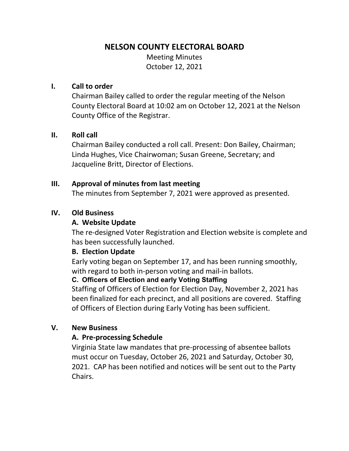# **NELSON COUNTY ELECTORAL BOARD**

Meeting Minutes October 12, 2021

#### **I. Call to order**

Chairman Bailey called to order the regular meeting of the Nelson County Electoral Board at 10:02 am on October 12, 2021 at the Nelson County Office of the Registrar.

#### **II. Roll call**

Chairman Bailey conducted a roll call. Present: Don Bailey, Chairman; Linda Hughes, Vice Chairwoman; Susan Greene, Secretary; and Jacqueline Britt, Director of Elections.

#### **III. Approval of minutes from last meeting**

The minutes from September 7, 2021 were approved as presented.

#### **IV. Old Business**

#### **A. Website Update**

The re-designed Voter Registration and Election website is complete and has been successfully launched.

#### **B. Election Update**

Early voting began on September 17, and has been running smoothly, with regard to both in-person voting and mail-in ballots.

### **C. Officers of Election and early Voting Staffing**

Staffing of Officers of Election for Election Day, November 2, 2021 has been finalized for each precinct, and all positions are covered. Staffing of Officers of Election during Early Voting has been sufficient.

#### **V. New Business**

### **A. Pre-processing Schedule**

Virginia State law mandates that pre-processing of absentee ballots must occur on Tuesday, October 26, 2021 and Saturday, October 30, 2021. CAP has been notified and notices will be sent out to the Party Chairs.